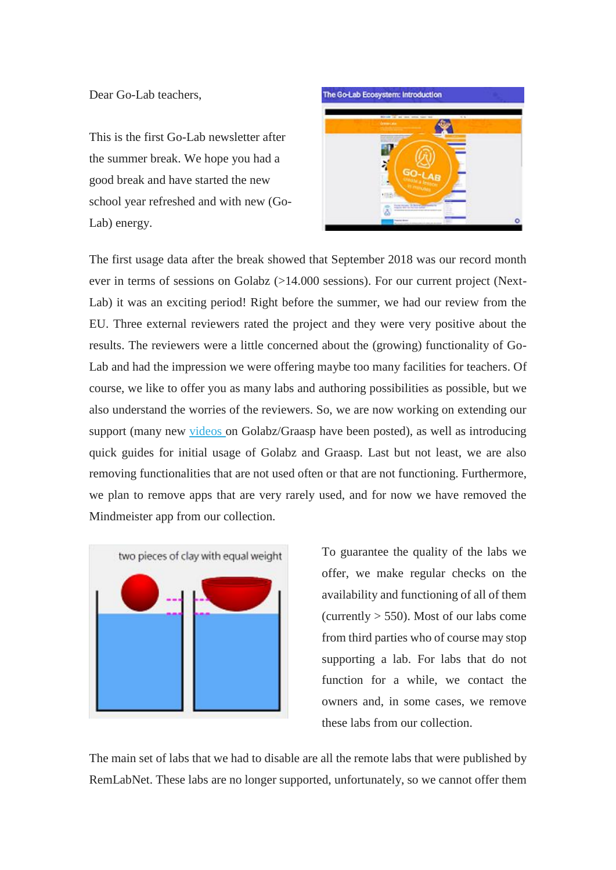Dear Go-Lab teachers,

This is the first Go-Lab newsletter after the summer break. We hope you had a good break and have started the new school year refreshed and with new (Go-Lab) energy.



The first usage data after the break showed that September 2018 was our record month ever in terms of sessions on Golabz (>14.000 sessions). For our current project (Next-Lab) it was an exciting period! Right before the summer, we had our review from the EU. Three external reviewers rated the project and they were very positive about the results. The reviewers were a little concerned about the (growing) functionality of Go-Lab and had the impression we were offering maybe too many facilities for teachers. Of course, we like to offer you as many labs and authoring possibilities as possible, but we also understand the worries of the reviewers. So, we are now working on extending our support (many new [videos o](https://go-lab-project.us6.list-manage.com/track/click?u=fcaa73d53911340a72d92d73f&id=d8454358c3&e=a9ce165b99)n Golabz/Graasp have been posted), as well as introducing quick guides for initial usage of Golabz and Graasp. Last but not least, we are also removing functionalities that are not used often or that are not functioning. Furthermore, we plan to remove apps that are very rarely used, and for now we have removed the Mindmeister app from our collection.



To guarantee the quality of the labs we offer, we make regular checks on the availability and functioning of all of them (currently  $> 550$ ). Most of our labs come from third parties who of course may stop supporting a lab. For labs that do not function for a while, we contact the owners and, in some cases, we remove these labs from our collection.

The main set of labs that we had to disable are all the remote labs that were published by RemLabNet. These labs are no longer supported, unfortunately, so we cannot offer them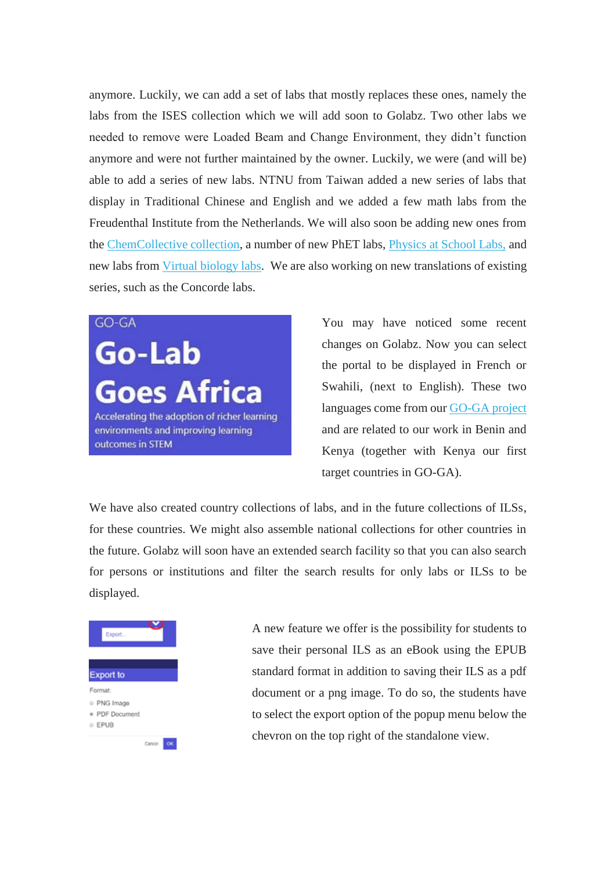anymore. Luckily, we can add a set of labs that mostly replaces these ones, namely the labs from the ISES collection which we will add soon to Golabz. Two other labs we needed to remove were Loaded Beam and Change Environment, they didn't function anymore and were not further maintained by the owner. Luckily, we were (and will be) able to add a series of new labs. NTNU from Taiwan added a new series of labs that display in Traditional Chinese and English and we added a few math labs from the Freudenthal Institute from the Netherlands. We will also soon be adding new ones from the [ChemCollective collection,](https://go-lab-project.us6.list-manage.com/track/click?u=fcaa73d53911340a72d92d73f&id=2a8e2415ab&e=a9ce165b99) a number of new PhET labs, [Physics at School Labs,](https://go-lab-project.us6.list-manage.com/track/click?u=fcaa73d53911340a72d92d73f&id=2b3365f984&e=a9ce165b99) and new labs from [Virtual biology labs.](https://go-lab-project.us6.list-manage.com/track/click?u=fcaa73d53911340a72d92d73f&id=52df4a0dcb&e=a9ce165b99) We are also working on new translations of existing series, such as the Concorde labs.

## GO-GA

Go-Lab **Goes Africa** Accelerating the adoption of richer learning environments and improving learning outcomes in STEM

You may have noticed some recent changes on Golabz. Now you can select the portal to be displayed in French or Swahili, (next to English). These two languages come from ou[r GO-GA project](https://go-lab-project.us6.list-manage.com/track/click?u=fcaa73d53911340a72d92d73f&id=c2e4ef14e1&e=a9ce165b99)  and are related to our work in Benin and Kenya (together with Kenya our first target countries in GO-GA).

We have also created country collections of labs, and in the future collections of ILSs, for these countries. We might also assemble national collections for other countries in the future. Golabz will soon have an extended search facility so that you can also search for persons or institutions and filter the search results for only labs or ILSs to be displayed.



A new feature we offer is the possibility for students to save their personal ILS as an eBook using the EPUB standard format in addition to saving their ILS as a pdf document or a png image. To do so, the students have to select the export option of the popup menu below the chevron on the top right of the standalone view.